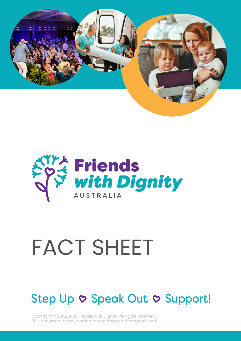



# FACT SHEET

### Step Up  $\circ$  Speak Out  $\circ$  Support!

Copyright © 2018/2020 Friends with Dignity. All rights reserved. This document or any portion thereof may not be reproduced.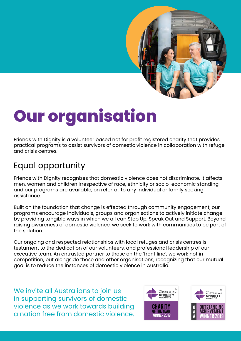

## **Our organisation**

Friends with Dignity is a volunteer based not for profit registered charity that provides practical programs to assist survivors of domestic violence in collaboration with refuge and crisis centres.

### Equal opportunity

Friends with Dignity recognizes that domestic violence does not discriminate. It affects men, women and children irrespective of race, ethnicity or socio-economic standing and our programs are available, on referral, to any individual or family seeking assistance.

Built on the foundation that change is effected through community engagement, our programs encourage individuals, groups and organisations to actively initiate change by providing tangible ways in which we all can Step Up, Speak Out and Support. Beyond raising awareness of domestic violence, we seek to work with communities to be part of the solution.

Our ongoing and respected relationships with local refuges and crisis centres is testament to the dedication of our volunteers, and professional leadership of our executive team. An entrusted partner to those on the 'front line', we work not in competition, but alongside these and other organisations, recognizing that our mutual goal is to reduce the instances of domestic violence in Australia.

We invite all Australians to join us in supporting survivors of domestic violence as we work towards building a nation free from domestic violence.

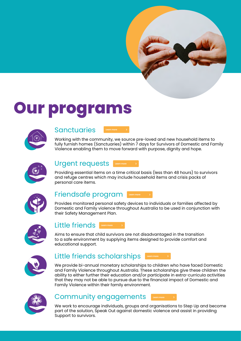### **Our programs**



#### **Sanctuaries**



Working with the community, we source pre-loved and new household items to fully furnish homes (Sanctuaries) within 7 days for Survivors of Domestic and Family Violence enabling them to move forward with purpose, dignity and hope.



#### Urgent requests

Providing essential items on a time critical basis (less than 48 hours) to survivors and refuge centres which may include household items and crisis packs of personal care items.



#### Friendsafe program

Provides monitored personal safety devices to individuals or families affected by Domestic and Family violence throughout Australia to be used in conjunction with their Safety Management Plan.



#### Little friends **Learn more**

Aims to ensure that child survivors are not disadvantaged in the transition to a safe environment by supplying items designed to provide comfort and educational support.



#### Little friends scholarships **Learn more**

We provide bi-annual monetary scholarships to children who have faced Domestic and Family Violence throughout Australia. These scholarships give these children the ability to either further their education and/or participate in extra-curricula activities that they may not be able to pursue due to the financial impact of Domestic and Family Violence within their family environment. **Learn more**<br> **Learn more Learn more**<br> **Learn more Learn more**<br> **Learn more Learn more**<br> **Learn more Learn more**<br> **Learn more**<br> **Learn more**<br> **Learn more**<br> **Learn more**<br> **Learn more**<br> **Learn more**<br> **Learn more**<br> **L** 



#### Community engagements

We work to encourage individuals, groups and organisations to Step Up and become part of the solution, Speak Out against domestic violence and assist in providing Support to survivors.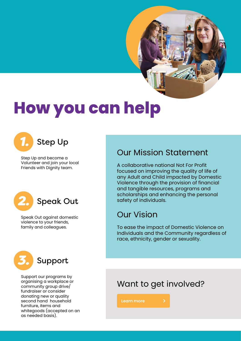**How you can help**



Step Up and become a Volunteer and join your local Friends with Dignity team.



Speak Out against domestic violence to your friends, family and colleagues.



Support our programs by organising a workplace or community group drive/ fundraiser or consider donating new or quality second hand household furniture, items and whitegoods (accepted on an as needed basis).

#### Our Mission Statement

A collaborative national Not For Profit focused on improving the quality of life of any Adult and Child impacted by Domestic Violence through the provision of financial and tangible resources, programs and scholarships and enhancing the personal safety of individuals.

#### Our Vision

To ease the impact of Domestic Violence on Individuals and the Community regardless of race, ethnicity, gender or sexuality.

#### Want to get involved?

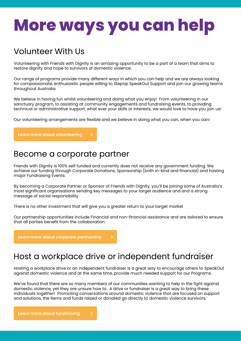### **More ways you can help**

#### Volunteer With Us

Volunteering with Friends with Dignity is an amazing opportunity to be a part of a team that aims to restore dignity and hope to survivors of domestic violence.

Our range of programs provide many different ways in which you can help and we are always looking for compassionate, enthusiastic people willing to StepUp SpeakOut Support and join our growing teams throughout Australia.

We believe in having fun whilst volunteering and doing what you enjoy! From volunteering in our sanctuary program, to assisting at community engagements and fundraising events, to providing technical or administrative support, what ever your skills or interests, we would love to have you join us!

Our volunteering arrangements are flexible and we believe in doing what you can, when you can!

#### Become a corporate partner

Friends with Dignity is 100% self funded and currently does not receive any government funding. We achieve our funding through Corporate Donations, Sponsorship (both in-kind and financial) and hosting major Fundraising Events.

By becoming a Corporate Partner or Sponsor of Friends with Dignity, you'll be joining some of Australia's most significant organisations sending key messages to your target audience and and a strong message of social responsibility

There is no other investment that will give you a greater return to your target market

Our partnership opportunities include Financial and non-financial assistance and are tailored to ensure that all parties benefit from the collaboration.

#### Host a workplace drive or independent fundraiser

Hosting a workplace drive or an independent fundraiser is a great way to encourage others to SpeakOut against domestic violence and at the same time, provide much needed support for our Programs.

We've found that there are so many members of our communities wanting to help in the fight against domestic violence, yet they are unsure how to. A drive or fundraiser is a great way to bring these individuals together! Promoting conversations around domestic violence that are focused on support and solutions, the items and funds raised or donated go directly to domestic violence survivors. **Learn more about volunteering**<br> **Learn more about volunteering**<br> **Learnt** Comparity is 100% self funded and<br>
thieve our fundring through Corporate Dor<br>
adjor Fundraising Events.<br> **Learnt corporate partners of the partners**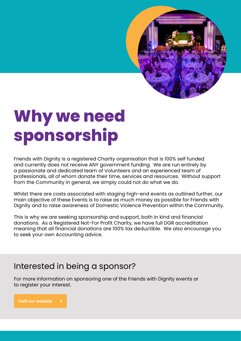

### **Why we need sponsorship**

Friends with Dignity is a registered Charity organisation that is 100% self funded and currently does not receive ANY government funding. We are run entirely by a passionate and dedicated team of Volunteers and an experienced team of professionals, all of whom donate their time, services and resources. Without support from the Community in general, we simply could not do what we do.

Whilst there are costs associated with staging high-end events as outlined further, our main objective of these Events is to raise as much money as possible for Friends with Dignity and to raise awareness of Domestic Violence Prevention within the Community.

This is why we are seeking sponsorship and support, both in kind and financial donations. As a Registered Not-For Profit Charity, we have full DGR accreditation meaning that all financial donations are 100% tax deductible. We also encourage you to seek your own Accounting advice.

#### Interested in being a sponsor?

For more information on sponsoring one of the Friends with Dignity events or to register your interest.